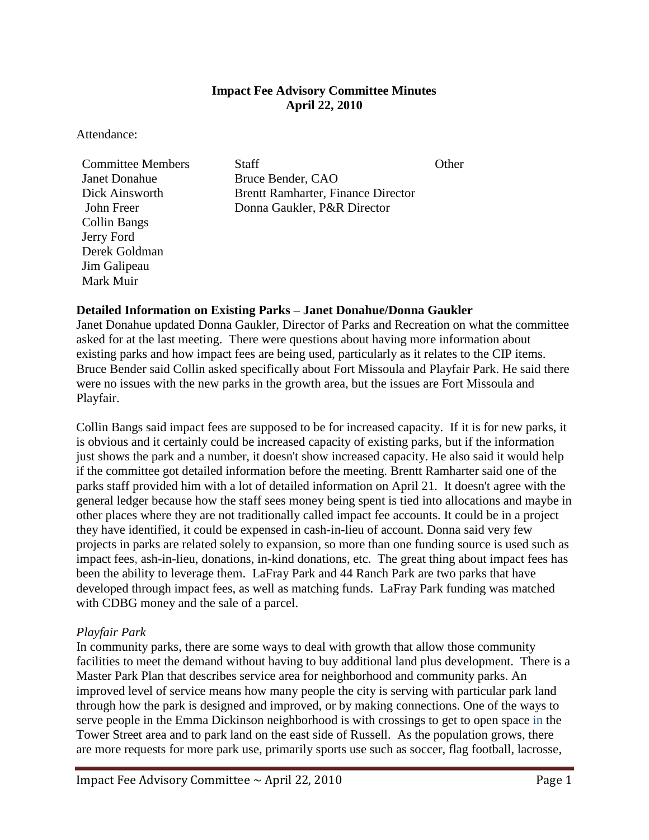# **Impact Fee Advisory Committee Minutes April 22, 2010**

Attendance:

Janet Donahue Bruce Bender, CAO Collin Bangs Jerry Ford Derek Goldman Jim Galipeau Mark Muir

**Committee Members** Staff **Staff** Other Dick Ainsworth Brentt Ramharter, Finance Director John Freer Donna Gaukler, P&R Director

## **Detailed Information on Existing Parks – Janet Donahue/Donna Gaukler**

Janet Donahue updated Donna Gaukler, Director of Parks and Recreation on what the committee asked for at the last meeting. There were questions about having more information about existing parks and how impact fees are being used, particularly as it relates to the CIP items. Bruce Bender said Collin asked specifically about Fort Missoula and Playfair Park. He said there were no issues with the new parks in the growth area, but the issues are Fort Missoula and Playfair.

Collin Bangs said impact fees are supposed to be for increased capacity. If it is for new parks, it is obvious and it certainly could be increased capacity of existing parks, but if the information just shows the park and a number, it doesn't show increased capacity. He also said it would help if the committee got detailed information before the meeting. Brentt Ramharter said one of the parks staff provided him with a lot of detailed information on April 21. It doesn't agree with the general ledger because how the staff sees money being spent is tied into allocations and maybe in other places where they are not traditionally called impact fee accounts. It could be in a project they have identified, it could be expensed in cash-in-lieu of account. Donna said very few projects in parks are related solely to expansion, so more than one funding source is used such as impact fees, ash-in-lieu, donations, in-kind donations, etc. The great thing about impact fees has been the ability to leverage them. LaFray Park and 44 Ranch Park are two parks that have developed through impact fees, as well as matching funds. LaFray Park funding was matched with CDBG money and the sale of a parcel.

### *Playfair Park*

In community parks, there are some ways to deal with growth that allow those community facilities to meet the demand without having to buy additional land plus development. There is a Master Park Plan that describes service area for neighborhood and community parks. An improved level of service means how many people the city is serving with particular park land through how the park is designed and improved, or by making connections. One of the ways to serve people in the Emma Dickinson neighborhood is with crossings to get to open space in the Tower Street area and to park land on the east side of Russell. As the population grows, there are more requests for more park use, primarily sports use such as soccer, flag football, lacrosse,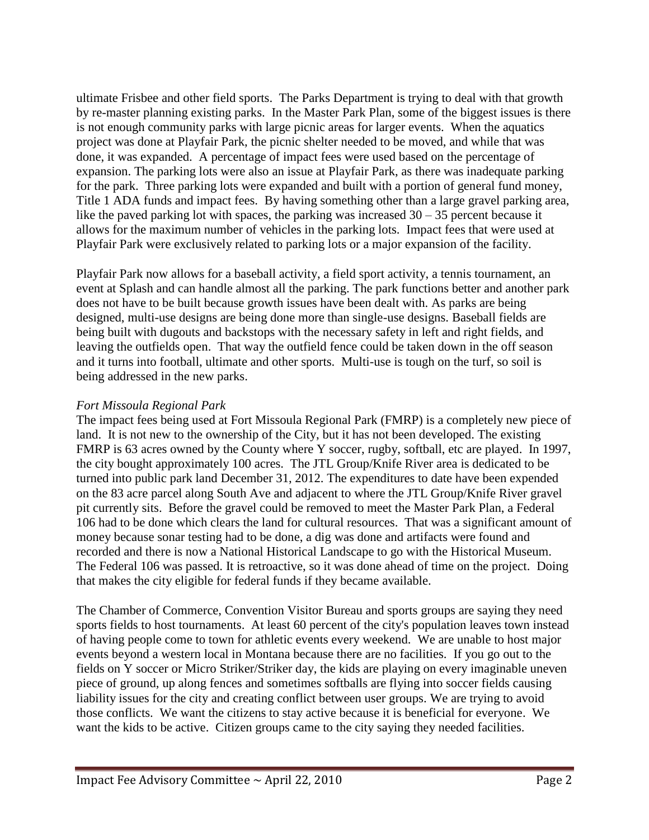ultimate Frisbee and other field sports. The Parks Department is trying to deal with that growth by re-master planning existing parks. In the Master Park Plan, some of the biggest issues is there is not enough community parks with large picnic areas for larger events. When the aquatics project was done at Playfair Park, the picnic shelter needed to be moved, and while that was done, it was expanded. A percentage of impact fees were used based on the percentage of expansion. The parking lots were also an issue at Playfair Park, as there was inadequate parking for the park. Three parking lots were expanded and built with a portion of general fund money, Title 1 ADA funds and impact fees. By having something other than a large gravel parking area, like the paved parking lot with spaces, the parking was increased  $30 - 35$  percent because it allows for the maximum number of vehicles in the parking lots. Impact fees that were used at Playfair Park were exclusively related to parking lots or a major expansion of the facility.

Playfair Park now allows for a baseball activity, a field sport activity, a tennis tournament, an event at Splash and can handle almost all the parking. The park functions better and another park does not have to be built because growth issues have been dealt with. As parks are being designed, multi-use designs are being done more than single-use designs. Baseball fields are being built with dugouts and backstops with the necessary safety in left and right fields, and leaving the outfields open. That way the outfield fence could be taken down in the off season and it turns into football, ultimate and other sports. Multi-use is tough on the turf, so soil is being addressed in the new parks.

# *Fort Missoula Regional Park*

The impact fees being used at Fort Missoula Regional Park (FMRP) is a completely new piece of land. It is not new to the ownership of the City, but it has not been developed. The existing FMRP is 63 acres owned by the County where Y soccer, rugby, softball, etc are played. In 1997, the city bought approximately 100 acres. The JTL Group/Knife River area is dedicated to be turned into public park land December 31, 2012. The expenditures to date have been expended on the 83 acre parcel along South Ave and adjacent to where the JTL Group/Knife River gravel pit currently sits. Before the gravel could be removed to meet the Master Park Plan, a Federal 106 had to be done which clears the land for cultural resources. That was a significant amount of money because sonar testing had to be done, a dig was done and artifacts were found and recorded and there is now a National Historical Landscape to go with the Historical Museum. The Federal 106 was passed. It is retroactive, so it was done ahead of time on the project. Doing that makes the city eligible for federal funds if they became available.

The Chamber of Commerce, Convention Visitor Bureau and sports groups are saying they need sports fields to host tournaments. At least 60 percent of the city's population leaves town instead of having people come to town for athletic events every weekend. We are unable to host major events beyond a western local in Montana because there are no facilities. If you go out to the fields on Y soccer or Micro Striker/Striker day, the kids are playing on every imaginable uneven piece of ground, up along fences and sometimes softballs are flying into soccer fields causing liability issues for the city and creating conflict between user groups. We are trying to avoid those conflicts. We want the citizens to stay active because it is beneficial for everyone. We want the kids to be active. Citizen groups came to the city saying they needed facilities.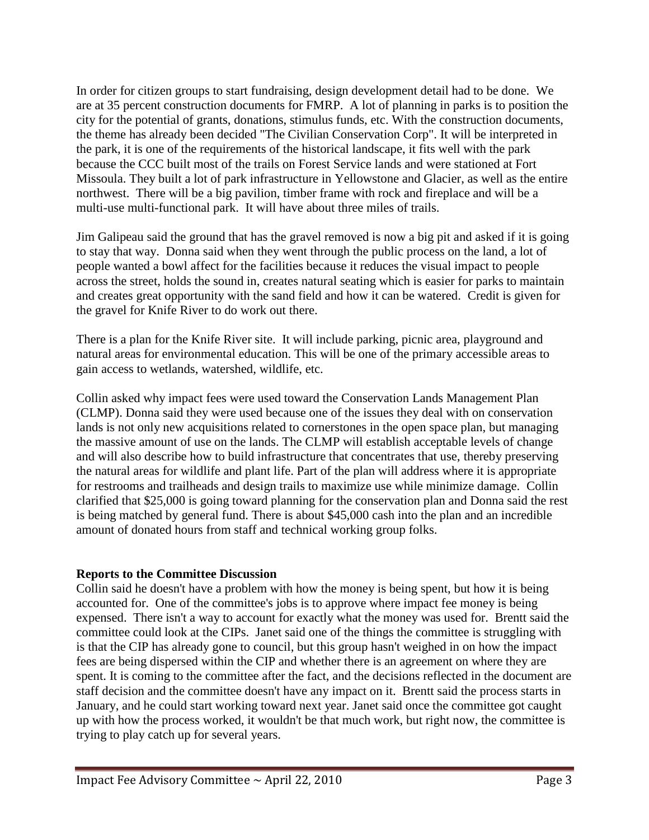In order for citizen groups to start fundraising, design development detail had to be done. We are at 35 percent construction documents for FMRP. A lot of planning in parks is to position the city for the potential of grants, donations, stimulus funds, etc. With the construction documents, the theme has already been decided "The Civilian Conservation Corp". It will be interpreted in the park, it is one of the requirements of the historical landscape, it fits well with the park because the CCC built most of the trails on Forest Service lands and were stationed at Fort Missoula. They built a lot of park infrastructure in Yellowstone and Glacier, as well as the entire northwest. There will be a big pavilion, timber frame with rock and fireplace and will be a multi-use multi-functional park. It will have about three miles of trails.

Jim Galipeau said the ground that has the gravel removed is now a big pit and asked if it is going to stay that way. Donna said when they went through the public process on the land, a lot of people wanted a bowl affect for the facilities because it reduces the visual impact to people across the street, holds the sound in, creates natural seating which is easier for parks to maintain and creates great opportunity with the sand field and how it can be watered. Credit is given for the gravel for Knife River to do work out there.

There is a plan for the Knife River site. It will include parking, picnic area, playground and natural areas for environmental education. This will be one of the primary accessible areas to gain access to wetlands, watershed, wildlife, etc.

Collin asked why impact fees were used toward the Conservation Lands Management Plan (CLMP). Donna said they were used because one of the issues they deal with on conservation lands is not only new acquisitions related to cornerstones in the open space plan, but managing the massive amount of use on the lands. The CLMP will establish acceptable levels of change and will also describe how to build infrastructure that concentrates that use, thereby preserving the natural areas for wildlife and plant life. Part of the plan will address where it is appropriate for restrooms and trailheads and design trails to maximize use while minimize damage. Collin clarified that \$25,000 is going toward planning for the conservation plan and Donna said the rest is being matched by general fund. There is about \$45,000 cash into the plan and an incredible amount of donated hours from staff and technical working group folks.

### **Reports to the Committee Discussion**

Collin said he doesn't have a problem with how the money is being spent, but how it is being accounted for. One of the committee's jobs is to approve where impact fee money is being expensed. There isn't a way to account for exactly what the money was used for. Brentt said the committee could look at the CIPs. Janet said one of the things the committee is struggling with is that the CIP has already gone to council, but this group hasn't weighed in on how the impact fees are being dispersed within the CIP and whether there is an agreement on where they are spent. It is coming to the committee after the fact, and the decisions reflected in the document are staff decision and the committee doesn't have any impact on it. Brentt said the process starts in January, and he could start working toward next year. Janet said once the committee got caught up with how the process worked, it wouldn't be that much work, but right now, the committee is trying to play catch up for several years.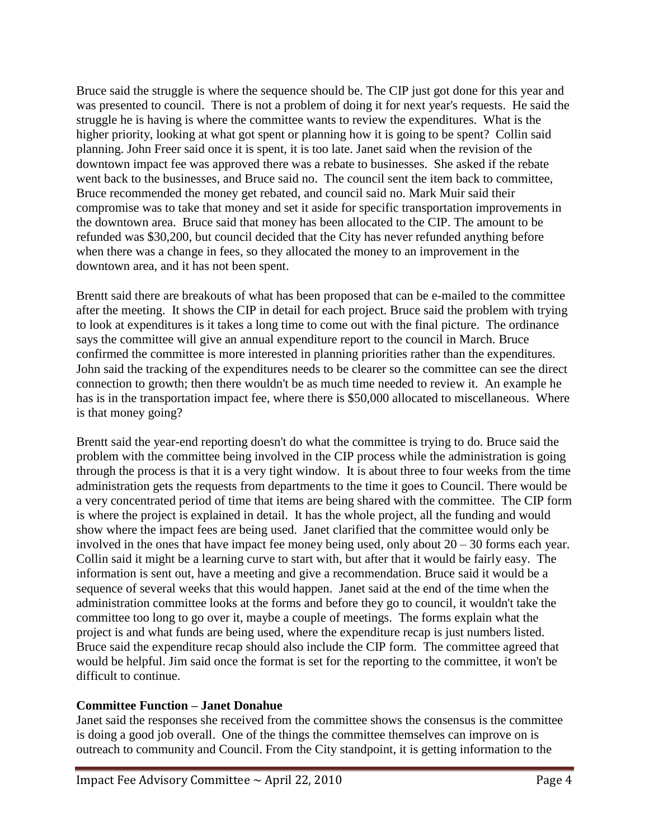Bruce said the struggle is where the sequence should be. The CIP just got done for this year and was presented to council. There is not a problem of doing it for next year's requests. He said the struggle he is having is where the committee wants to review the expenditures. What is the higher priority, looking at what got spent or planning how it is going to be spent? Collin said planning. John Freer said once it is spent, it is too late. Janet said when the revision of the downtown impact fee was approved there was a rebate to businesses. She asked if the rebate went back to the businesses, and Bruce said no. The council sent the item back to committee, Bruce recommended the money get rebated, and council said no. Mark Muir said their compromise was to take that money and set it aside for specific transportation improvements in the downtown area. Bruce said that money has been allocated to the CIP. The amount to be refunded was \$30,200, but council decided that the City has never refunded anything before when there was a change in fees, so they allocated the money to an improvement in the downtown area, and it has not been spent.

Brentt said there are breakouts of what has been proposed that can be e-mailed to the committee after the meeting. It shows the CIP in detail for each project. Bruce said the problem with trying to look at expenditures is it takes a long time to come out with the final picture. The ordinance says the committee will give an annual expenditure report to the council in March. Bruce confirmed the committee is more interested in planning priorities rather than the expenditures. John said the tracking of the expenditures needs to be clearer so the committee can see the direct connection to growth; then there wouldn't be as much time needed to review it. An example he has is in the transportation impact fee, where there is \$50,000 allocated to miscellaneous. Where is that money going?

Brentt said the year-end reporting doesn't do what the committee is trying to do. Bruce said the problem with the committee being involved in the CIP process while the administration is going through the process is that it is a very tight window. It is about three to four weeks from the time administration gets the requests from departments to the time it goes to Council. There would be a very concentrated period of time that items are being shared with the committee. The CIP form is where the project is explained in detail. It has the whole project, all the funding and would show where the impact fees are being used. Janet clarified that the committee would only be involved in the ones that have impact fee money being used, only about  $20 - 30$  forms each year. Collin said it might be a learning curve to start with, but after that it would be fairly easy. The information is sent out, have a meeting and give a recommendation. Bruce said it would be a sequence of several weeks that this would happen. Janet said at the end of the time when the administration committee looks at the forms and before they go to council, it wouldn't take the committee too long to go over it, maybe a couple of meetings. The forms explain what the project is and what funds are being used, where the expenditure recap is just numbers listed. Bruce said the expenditure recap should also include the CIP form. The committee agreed that would be helpful. Jim said once the format is set for the reporting to the committee, it won't be difficult to continue.

# **Committee Function – Janet Donahue**

Janet said the responses she received from the committee shows the consensus is the committee is doing a good job overall. One of the things the committee themselves can improve on is outreach to community and Council. From the City standpoint, it is getting information to the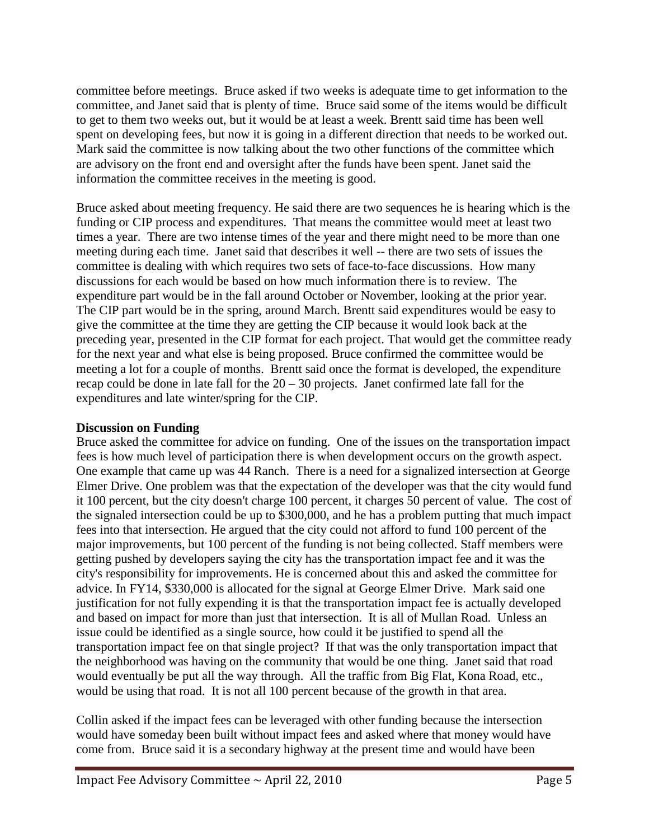committee before meetings. Bruce asked if two weeks is adequate time to get information to the committee, and Janet said that is plenty of time. Bruce said some of the items would be difficult to get to them two weeks out, but it would be at least a week. Brentt said time has been well spent on developing fees, but now it is going in a different direction that needs to be worked out. Mark said the committee is now talking about the two other functions of the committee which are advisory on the front end and oversight after the funds have been spent. Janet said the information the committee receives in the meeting is good.

Bruce asked about meeting frequency. He said there are two sequences he is hearing which is the funding or CIP process and expenditures. That means the committee would meet at least two times a year. There are two intense times of the year and there might need to be more than one meeting during each time. Janet said that describes it well -- there are two sets of issues the committee is dealing with which requires two sets of face-to-face discussions. How many discussions for each would be based on how much information there is to review. The expenditure part would be in the fall around October or November, looking at the prior year. The CIP part would be in the spring, around March. Brentt said expenditures would be easy to give the committee at the time they are getting the CIP because it would look back at the preceding year, presented in the CIP format for each project. That would get the committee ready for the next year and what else is being proposed. Bruce confirmed the committee would be meeting a lot for a couple of months. Brentt said once the format is developed, the expenditure recap could be done in late fall for the  $20 - 30$  projects. Janet confirmed late fall for the expenditures and late winter/spring for the CIP.

# **Discussion on Funding**

Bruce asked the committee for advice on funding. One of the issues on the transportation impact fees is how much level of participation there is when development occurs on the growth aspect. One example that came up was 44 Ranch. There is a need for a signalized intersection at George Elmer Drive. One problem was that the expectation of the developer was that the city would fund it 100 percent, but the city doesn't charge 100 percent, it charges 50 percent of value. The cost of the signaled intersection could be up to \$300,000, and he has a problem putting that much impact fees into that intersection. He argued that the city could not afford to fund 100 percent of the major improvements, but 100 percent of the funding is not being collected. Staff members were getting pushed by developers saying the city has the transportation impact fee and it was the city's responsibility for improvements. He is concerned about this and asked the committee for advice. In FY14, \$330,000 is allocated for the signal at George Elmer Drive. Mark said one justification for not fully expending it is that the transportation impact fee is actually developed and based on impact for more than just that intersection. It is all of Mullan Road. Unless an issue could be identified as a single source, how could it be justified to spend all the transportation impact fee on that single project? If that was the only transportation impact that the neighborhood was having on the community that would be one thing. Janet said that road would eventually be put all the way through. All the traffic from Big Flat, Kona Road, etc., would be using that road. It is not all 100 percent because of the growth in that area.

Collin asked if the impact fees can be leveraged with other funding because the intersection would have someday been built without impact fees and asked where that money would have come from. Bruce said it is a secondary highway at the present time and would have been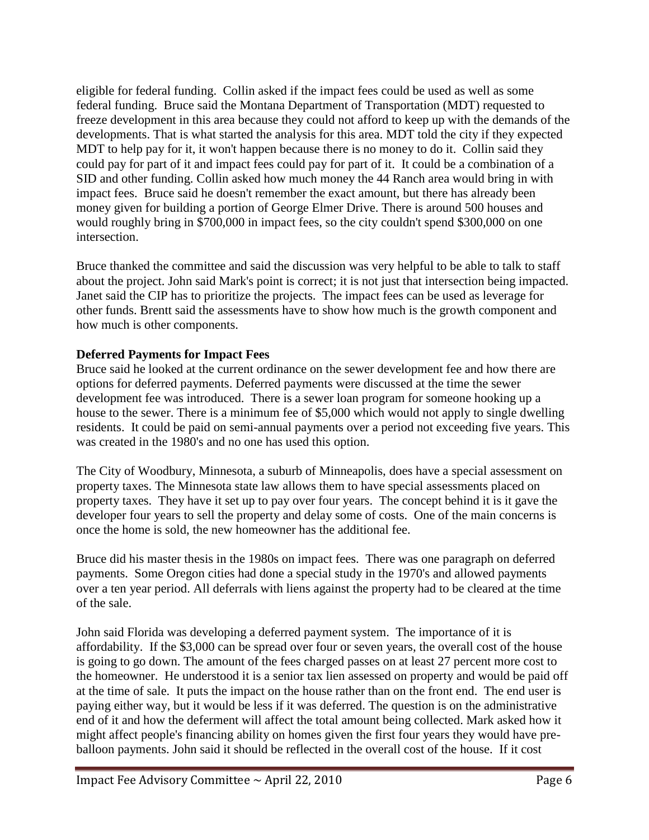eligible for federal funding. Collin asked if the impact fees could be used as well as some federal funding. Bruce said the Montana Department of Transportation (MDT) requested to freeze development in this area because they could not afford to keep up with the demands of the developments. That is what started the analysis for this area. MDT told the city if they expected MDT to help pay for it, it won't happen because there is no money to do it. Collin said they could pay for part of it and impact fees could pay for part of it. It could be a combination of a SID and other funding. Collin asked how much money the 44 Ranch area would bring in with impact fees. Bruce said he doesn't remember the exact amount, but there has already been money given for building a portion of George Elmer Drive. There is around 500 houses and would roughly bring in \$700,000 in impact fees, so the city couldn't spend \$300,000 on one intersection.

Bruce thanked the committee and said the discussion was very helpful to be able to talk to staff about the project. John said Mark's point is correct; it is not just that intersection being impacted. Janet said the CIP has to prioritize the projects. The impact fees can be used as leverage for other funds. Brentt said the assessments have to show how much is the growth component and how much is other components.

# **Deferred Payments for Impact Fees**

Bruce said he looked at the current ordinance on the sewer development fee and how there are options for deferred payments. Deferred payments were discussed at the time the sewer development fee was introduced. There is a sewer loan program for someone hooking up a house to the sewer. There is a minimum fee of \$5,000 which would not apply to single dwelling residents. It could be paid on semi-annual payments over a period not exceeding five years. This was created in the 1980's and no one has used this option.

The City of Woodbury, Minnesota, a suburb of Minneapolis, does have a special assessment on property taxes. The Minnesota state law allows them to have special assessments placed on property taxes. They have it set up to pay over four years. The concept behind it is it gave the developer four years to sell the property and delay some of costs. One of the main concerns is once the home is sold, the new homeowner has the additional fee.

Bruce did his master thesis in the 1980s on impact fees. There was one paragraph on deferred payments. Some Oregon cities had done a special study in the 1970's and allowed payments over a ten year period. All deferrals with liens against the property had to be cleared at the time of the sale.

John said Florida was developing a deferred payment system. The importance of it is affordability. If the \$3,000 can be spread over four or seven years, the overall cost of the house is going to go down. The amount of the fees charged passes on at least 27 percent more cost to the homeowner. He understood it is a senior tax lien assessed on property and would be paid off at the time of sale. It puts the impact on the house rather than on the front end. The end user is paying either way, but it would be less if it was deferred. The question is on the administrative end of it and how the deferment will affect the total amount being collected. Mark asked how it might affect people's financing ability on homes given the first four years they would have preballoon payments. John said it should be reflected in the overall cost of the house. If it cost